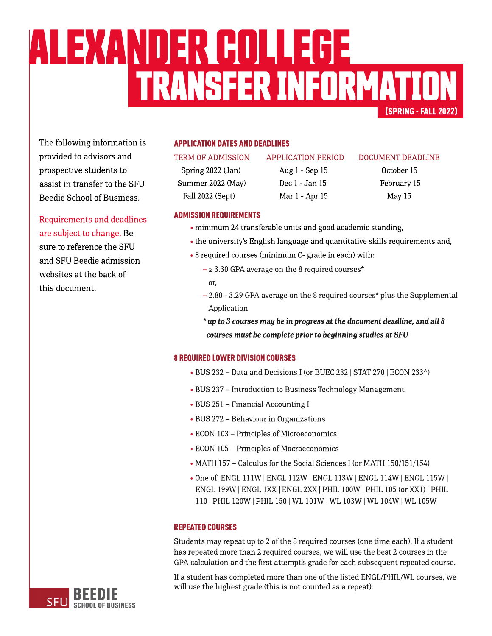# (SPRING-FALL2022) TRANSFERINFORMATION ALEXANDER COLLEGE

The following information is provided to advisors and prospective students to assist in transfer to the SFU Beedie School of Business.

Requirements and deadlines are subject to change. Be sure to reference the SFU and SFU Beedie admission websites at the back of this document.

# **APPLICATION DATES AND DEADLINES**

Summer 2022 (May) Dec 1 - Jan 15 February 15 Fall 2022 (Sept) Mar 1 - Apr 15 May 15

Spring 2022 (Jan) Aug 1 - Sep 15 October 15

#### TERM OF ADMISSION APPLICATION PERIOD DOCUMENT DEADLINE

#### **ADMISSION REQUIREMENTS**

- minimum 24 transferable units and good academic standing,
- the university's [English](https://www.sfu.ca/students/admission/admission-requirements/english-language-requirement.html) [language](https://www.sfu.ca/students/admission/admission-requirements/english-language-requirement.html) and quantitative skills requirements and,
- 8 required courses (minimum C- grade in each) with:
	- $\geq$  3.30 GPA average on the 8 required courses\* or,
	- $2.80 3.29$  GPA average on the 8 required courses\* plus the Supplemental Application
	- **\* upto3coursesmay bein progressat thedocument deadline,andall8** *courses must be complete prior to beginning studies at SFU*

## **8 REQUIRED LOWER DIVISION COURSES**

- BUS 232 Data and Decisions I (or BUEC 232 | STAT 270 | ECON 233^)
- BUS 237 Introduction to Business Technology Management
- BUS 251 Financial Accounting I
- BUS 272 Behaviour in Organizations
- ECON 103 Principles of Microeconomics
- ECON 105 Principles of Macroeconomics
- MATH 157 Calculus for the Social Sciences I (or MATH 150/151/154)
- Oneof: ENGL 111W |ENGL 112W | ENGL 113W | ENGL 114W | ENGL 115W | ENGL 199W |ENGL 1XX|ENGL 2XX| PHIL 100W |PHIL 105(or XX1) |PHIL 110| PHIL 120W |PHIL 150| WL 101W | WL 103W | WL 104W | WL105W

## **REPEATED COURSES**

Students may repeat up to 2 of the 8 required courses (one time each). If a student has repeated more than 2 required courses, we will use the best 2 courses in the GPA calculation and the first attempt's grade for each subsequent repeated course.

If a student has completed more than one of the listed ENGL/PHIL/WL courses, we will use the highest grade (this is not counted as a repeat).